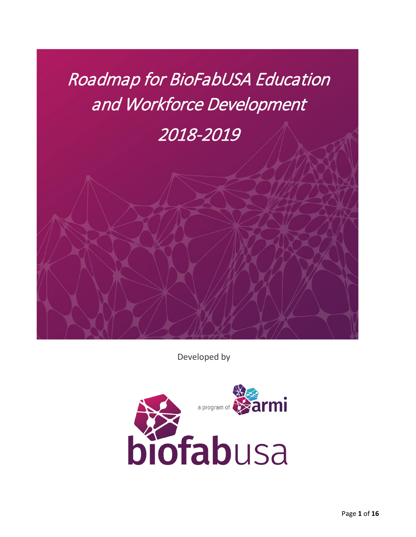# Roadmap for BioFabUSA Education and Workforce Development

## 2018-2019

Developed by

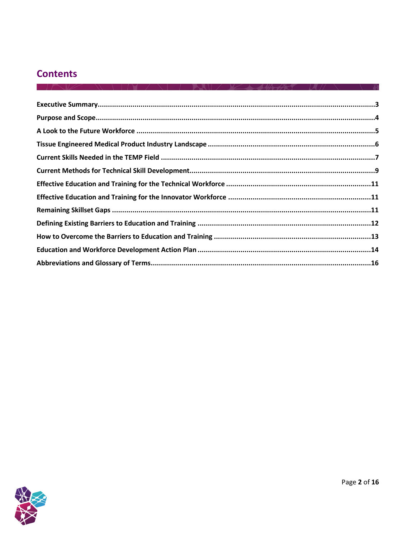## **Contents**

 $\sqrt{2}$ 

 $\sim$   $\sim$   $\sim$   $\sim$   $\sim$   $\sim$ 

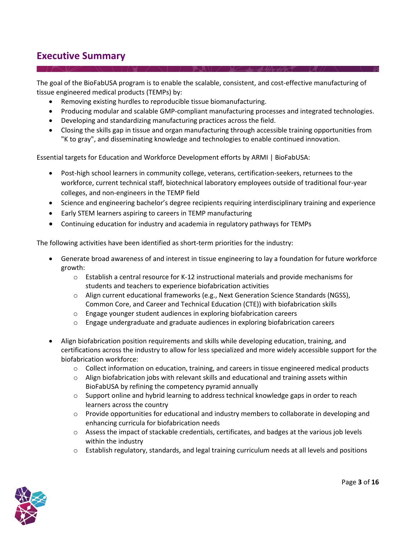## <span id="page-2-0"></span>**Executive Summary**

The goal of the BioFabUSA program is to enable the scalable, consistent, and cost-effective manufacturing of tissue engineered medical products (TEMPs) by:

- Removing existing hurdles to reproducible tissue biomanufacturing.
- Producing modular and scalable GMP-compliant manufacturing processes and integrated technologies.
- Developing and standardizing manufacturing practices across the field.
- Closing the skills gap in tissue and organ manufacturing through accessible training opportunities from "K to gray", and disseminating knowledge and technologies to enable continued innovation.

Essential targets for Education and Workforce Development efforts by ARMI | BioFabUSA:

- Post-high school learners in community college, veterans, certification-seekers, returnees to the workforce, current technical staff, biotechnical laboratory employees outside of traditional four-year colleges, and non-engineers in the TEMP field
- Science and engineering bachelor's degree recipients requiring interdisciplinary training and experience
- Early STEM learners aspiring to careers in TEMP manufacturing
- Continuing education for industry and academia in regulatory pathways for TEMPs

The following activities have been identified as short-term priorities for the industry:

- Generate broad awareness of and interest in tissue engineering to lay a foundation for future workforce growth:
	- $\circ$  Establish a central resource for K-12 instructional materials and provide mechanisms for students and teachers to experience biofabrication activities
	- o Align current educational frameworks (e.g., Next Generation Science Standards (NGSS), Common Core, and Career and Technical Education (CTE)) with biofabrication skills
	- o Engage younger student audiences in exploring biofabrication careers
	- $\circ$  Engage undergraduate and graduate audiences in exploring biofabrication careers
- Align biofabrication position requirements and skills while developing education, training, and certifications across the industry to allow for less specialized and more widely accessible support for the biofabrication workforce:
	- $\circ$  Collect information on education, training, and careers in tissue engineered medical products
	- $\circ$  Align biofabrication jobs with relevant skills and educational and training assets within BioFabUSA by refining the competency pyramid annually
	- $\circ$  Support online and hybrid learning to address technical knowledge gaps in order to reach learners across the country
	- $\circ$  Provide opportunities for educational and industry members to collaborate in developing and enhancing curricula for biofabrication needs
	- o Assess the impact of stackable credentials, certificates, and badges at the various job levels within the industry
	- $\circ$  Establish regulatory, standards, and legal training curriculum needs at all levels and positions

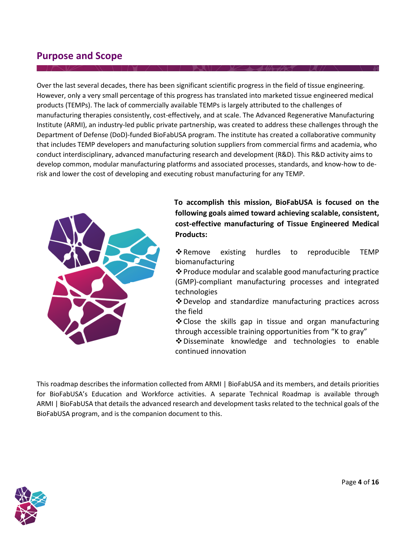### <span id="page-3-0"></span>**Purpose and Scope**

Over the last several decades, there has been significant scientific progress in the field of tissue engineering. However, only a very small percentage of this progress has translated into marketed tissue engineered medical products (TEMPs). The lack of commercially available TEMPs is largely attributed to the challenges of manufacturing therapies consistently, cost-effectively, and at scale. The Advanced Regenerative Manufacturing Institute (ARMI), an industry-led public private partnership, was created to address these challenges through the Department of Defense (DoD)-funded BioFabUSA program. The institute has created a collaborative community that includes TEMP developers and manufacturing solution suppliers from commercial firms and academia, who conduct interdisciplinary, advanced manufacturing research and development (R&D). This R&D activity aims to develop common, modular manufacturing platforms and associated processes, standards, and know-how to derisk and lower the cost of developing and executing robust manufacturing for any TEMP.



**To accomplish this mission, BioFabUSA is focused on the following goals aimed toward achieving scalable, consistent, cost-effective manufacturing of Tissue Engineered Medical Products:**

- \* Remove existing hurdles to reproducible TEMP biomanufacturing
- Produce modular and scalable good manufacturing practice (GMP)-compliant manufacturing processes and integrated technologies
- Develop and standardize manufacturing practices across the field
- $\triangle$  Close the skills gap in tissue and organ manufacturing through accessible training opportunities from "K to gray"
- ❖ Disseminate knowledge and technologies to enable continued innovation

This roadmap describes the information collected from ARMI | BioFabUSA and its members, and details priorities for BioFabUSA's Education and Workforce activities. A separate Technical Roadmap is available through ARMI | BioFabUSA that details the advanced research and development tasks related to the technical goals of the BioFabUSA program, and is the companion document to this.

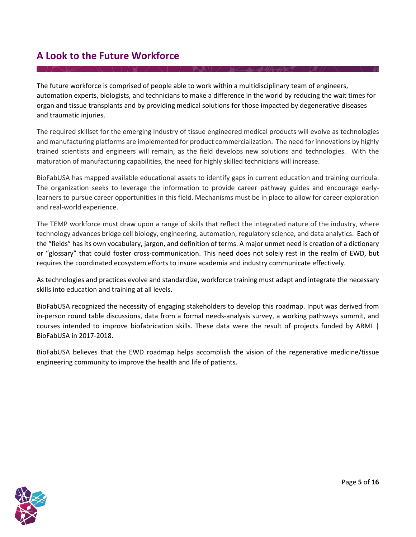## **A Look to the Future Workforce**

The future workforce is comprised of people able to work within a multidisciplinary team of engineers, automation experts, biologists, and technicians to make a difference in the world by reducing the wait times for organ and tissue transplants and by providing medical solutions for those impacted by degenerative diseases and traumatic injuries.

The required skillset for the emerging industry of tissue engineered medical products will evolve as technologies and manufacturing platforms are implemented for product commercialization. The need for innovations by highly trained scientists and engineers will remain, as the field develops new solutions and technologies. With the maturation of manufacturing capabilities, the need for highly skilled technicians will increase.

BioFabUSA has mapped available educational assets to identify gaps in current education and training curricula. The organization seeks to leverage the information to provide career pathway guides and encourage earlylearners to pursue career opportunities in this field. Mechanisms must be in place to allow for career exploration and real-world experience.

The TEMP workforce must draw upon a range of skills that reflect the integrated nature of the industry, where technology advances bridge cell biology, engineering, automation, regulatory science, and data analytics. Each of the "fields" has its own vocabulary, jargon, and definition of terms. A major unmet need is creation of a dictionary or "glossary" that could foster cross-communication. This need does not solely rest in the realm of EWD, but requires the coordinated ecosystem efforts to insure academia and industry communicate effectively.

As technologies and practices evolve and standardize, workforce training must adapt and integrate the necessary skills into education and training at all levels.

BioFabUSA recognized the necessity of engaging stakeholders to develop this roadmap. Input was derived from in-person round table discussions, data from a formal needs-analysis survey, a working pathways summit, and courses intended to improve biofabrication skills. These data were the result of projects funded by ARMI | BioFabUSA in 2017-2018.

BioFabUSA believes that the EWD roadmap helps accomplish the vision of the regenerative medicine/tissue engineering community to improve the health and life of patients.

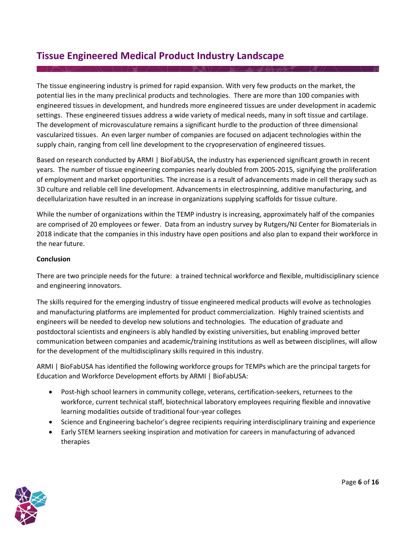## <span id="page-5-0"></span>**Tissue Engineered Medical Product Industry Landscape**

The tissue engineering industry is primed for rapid expansion. With very few products on the market, the potential lies in the many preclinical products and technologies. There are more than 100 companies with engineered tissues in development, and hundreds more engineered tissues are under development in academic settings. These engineered tissues address a wide variety of medical needs, many in soft tissue and cartilage. The development of microvasculature remains a significant hurdle to the production of three dimensional vascularized tissues. An even larger number of companies are focused on adjacent technologies within the supply chain, ranging from cell line development to the cryopreservation of engineered tissues.

Based on research conducted by ARMI | BioFabUSA, the industry has experienced significant growth in recent years. The number of tissue engineering companies nearly doubled from 2005-2015, signifying the proliferation of employment and market opportunities. The increase is a result of advancements made in cell therapy such as 3D culture and reliable cell line development. Advancements in electrospinning, additive manufacturing, and decellularization have resulted in an increase in organizations supplying scaffolds for tissue culture.

While the number of organizations within the TEMP industry is increasing, approximately half of the companies are comprised of 20 employees or fewer. Data from an industry survey by Rutgers/NJ Center for Biomaterials in 2018 indicate that the companies in this industry have open positions and also plan to expand their workforce in the near future.

#### **Conclusion**

There are two principle needs for the future: a trained technical workforce and flexible, multidisciplinary science and engineering innovators.

The skills required for the emerging industry of tissue engineered medical products will evolve as technologies and manufacturing platforms are implemented for product commercialization. Highly trained scientists and engineers will be needed to develop new solutions and technologies. The education of graduate and postdoctoral scientists and engineers is ably handled by existing universities, but enabling improved better communication between companies and academic/training institutions as well as between disciplines, will allow for the development of the multidisciplinary skills required in this industry.

ARMI | BioFabUSA has identified the following workforce groups for TEMPs which are the principal targets for Education and Workforce Development efforts by ARMI | BioFabUSA:

- Post-high school learners in community college, veterans, certification-seekers, returnees to the workforce, current technical staff, biotechnical laboratory employees requiring flexible and innovative learning modalities outside of traditional four-year colleges
- Science and Engineering bachelor's degree recipients requiring interdisciplinary training and experience
- Early STEM learners seeking inspiration and motivation for careers in manufacturing of advanced therapies

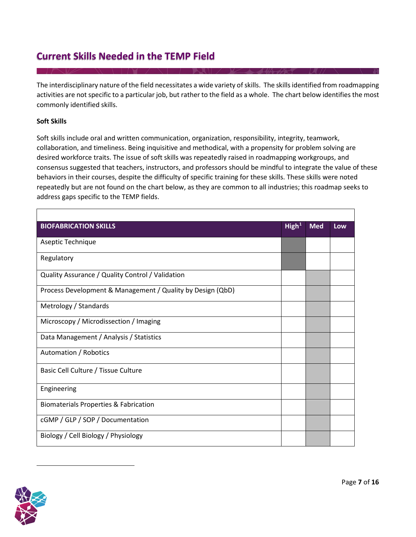## <span id="page-6-0"></span>**Current Skills Needed in the TEMP Field**

The interdisciplinary nature of the field necessitates a wide variety ofskills. The skills identified from roadmapping activities are not specific to a particular job, but rather to the field as a whole. The chart below identifies the most commonly identified skills.

#### **Soft Skills**

Soft skills include oral and written communication, organization, responsibility, integrity, teamwork, collaboration, and timeliness. Being inquisitive and methodical, with a propensity for problem solving are desired workforce traits. The issue of soft skills was repeatedly raised in roadmapping workgroups, and consensus suggested that teachers, instructors, and professors should be mindful to integrate the value of these behaviors in their courses, despite the difficulty of specific training for these skills. These skills were noted repeatedly but are not found on the chart below, as they are common to all industries; this roadmap seeks to address gaps specific to the TEMP fields.

| <b>BIOFABRICATION SKILLS</b>                               | High <sup>1</sup> | <b>Med</b> | Low |
|------------------------------------------------------------|-------------------|------------|-----|
| Aseptic Technique                                          |                   |            |     |
| Regulatory                                                 |                   |            |     |
| Quality Assurance / Quality Control / Validation           |                   |            |     |
| Process Development & Management / Quality by Design (QbD) |                   |            |     |
| Metrology / Standards                                      |                   |            |     |
| Microscopy / Microdissection / Imaging                     |                   |            |     |
| Data Management / Analysis / Statistics                    |                   |            |     |
| Automation / Robotics                                      |                   |            |     |
| Basic Cell Culture / Tissue Culture                        |                   |            |     |
| Engineering                                                |                   |            |     |
| <b>Biomaterials Properties &amp; Fabrication</b>           |                   |            |     |
| cGMP / GLP / SOP / Documentation                           |                   |            |     |
| Biology / Cell Biology / Physiology                        |                   |            |     |

<span id="page-6-1"></span>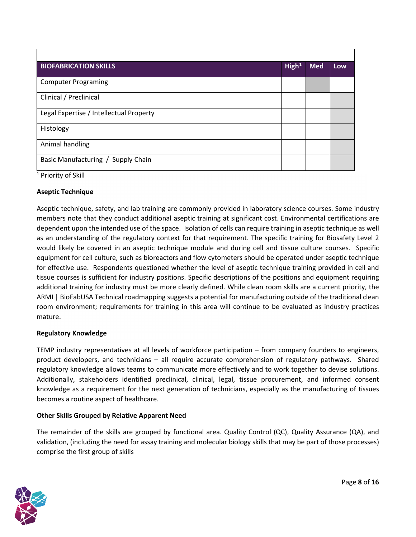| <b>BIOFABRICATION SKILLS</b>            | High <sup>1</sup> | <b>Med</b> | Low |
|-----------------------------------------|-------------------|------------|-----|
| <b>Computer Programing</b>              |                   |            |     |
| Clinical / Preclinical                  |                   |            |     |
| Legal Expertise / Intellectual Property |                   |            |     |
| Histology                               |                   |            |     |
| Animal handling                         |                   |            |     |
| Basic Manufacturing / Supply Chain      |                   |            |     |

<sup>1</sup> Priority of Skill

#### **Aseptic Technique**

Aseptic technique, safety, and lab training are commonly provided in laboratory science courses. Some industry members note that they conduct additional aseptic training at significant cost. Environmental certifications are dependent upon the intended use of the space. Isolation of cells can require training in aseptic technique as well as an understanding of the regulatory context for that requirement. The specific training for Biosafety Level 2 would likely be covered in an aseptic technique module and during cell and tissue culture courses. Specific equipment for cell culture, such as bioreactors and flow cytometers should be operated under aseptic technique for effective use. Respondents questioned whether the level of aseptic technique training provided in cell and tissue courses is sufficient for industry positions. Specific descriptions of the positions and equipment requiring additional training for industry must be more clearly defined. While clean room skills are a current priority, the ARMI | BioFabUSA Technical roadmapping suggests a potential for manufacturing outside of the traditional clean room environment; requirements for training in this area will continue to be evaluated as industry practices mature.

#### **Regulatory Knowledge**

TEMP industry representatives at all levels of workforce participation – from company founders to engineers, product developers, and technicians – all require accurate comprehension of regulatory pathways. Shared regulatory knowledge allows teams to communicate more effectively and to work together to devise solutions. Additionally, stakeholders identified preclinical, clinical, legal, tissue procurement, and informed consent knowledge as a requirement for the next generation of technicians, especially as the manufacturing of tissues becomes a routine aspect of healthcare.

#### **Other Skills Grouped by Relative Apparent Need**

The remainder of the skills are grouped by functional area. Quality Control (QC), Quality Assurance (QA), and validation, (including the need for assay training and molecular biology skills that may be part of those processes) comprise the first group of skills

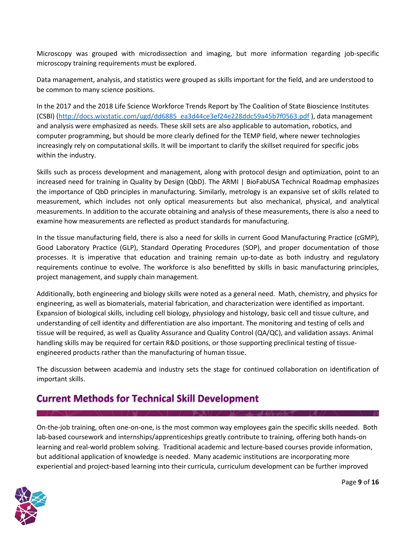Microscopy was grouped with microdissection and imaging, but more information regarding job-specific microscopy training requirements must be explored.

Data management, analysis, and statistics were grouped as skills important for the field, and are understood to be common to many science positions.

In the 2017 and the 2018 Life Science Workforce Trends Report by The Coalition of State Bioscience Institutes (CSBI) [\(http://docs.wixstatic.com/ugd/dd6885\\_ea3d44ce3ef24e228ddc59a45b7f0563.pdf](http://docs.wixstatic.com/ugd/dd6885_ea3d44ce3ef24e228ddc59a45b7f0563.pdf) ), data management and analysis were emphasized as needs. These skill sets are also applicable to automation, robotics, and computer programming, but should be more clearly defined for the TEMP field, where newer technologies increasingly rely on computational skills. It will be important to clarify the skillset required for specific jobs within the industry.

Skills such as process development and management, along with protocol design and optimization, point to an increased need for training in Quality by Design (QbD). The ARMI | BioFabUSA Technical Roadmap emphasizes the importance of QbD principles in manufacturing. Similarly, metrology is an expansive set of skills related to measurement, which includes not only optical measurements but also mechanical, physical, and analytical measurements. In addition to the accurate obtaining and analysis of these measurements, there is also a need to examine how measurements are reflected as product standards for manufacturing.

In the tissue manufacturing field, there is also a need for skills in current Good Manufacturing Practice (cGMP), Good Laboratory Practice (GLP), Standard Operating Procedures (SOP), and proper documentation of those processes. It is imperative that education and training remain up-to-date as both industry and regulatory requirements continue to evolve. The workforce is also benefitted by skills in basic manufacturing principles, project management, and supply chain management.

Additionally, both engineering and biology skills were noted as a general need. Math, chemistry, and physics for engineering, as well as biomaterials, material fabrication, and characterization were identified as important. Expansion of biological skills, including cell biology, physiology and histology, basic cell and tissue culture, and understanding of cell identity and differentiation are also important. The monitoring and testing of cells and tissue will be required, as well as Quality Assurance and Quality Control (QA/QC), and validation assays. Animal handling skills may be required for certain R&D positions, or those supporting preclinical testing of tissueengineered products rather than the manufacturing of human tissue.

The discussion between academia and industry sets the stage for continued collaboration on identification of important skills.

## **Current Methods for Technical Skill Development**

On-the-job training, often one-on-one, is the most common way employees gain the specific skills needed. Both lab-based coursework and internships/apprenticeships greatly contribute to training, offering both hands-on learning and real-world problem solving. Traditional academic and lecture-based courses provide information, but additional application of knowledge is needed. Many academic institutions are incorporating more experiential and project-based learning into their curricula, curriculum development can be further improved

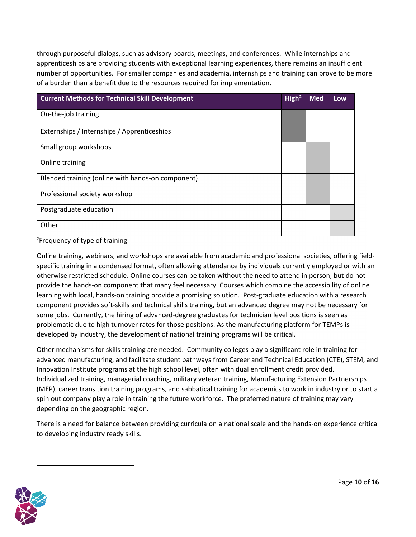through purposeful dialogs, such as advisory boards, meetings, and conferences. While internships and apprenticeships are providing students with exceptional learning experiences, there remains an insufficient number of opportunities. For smaller companies and academia, internships and training can prove to be more of a burden than a benefit due to the resources required for implementation.

| <b>Current Methods for Technical Skill Development</b> | High <sup>2</sup> | <b>Med</b> | Low |
|--------------------------------------------------------|-------------------|------------|-----|
| On-the-job training                                    |                   |            |     |
| Externships / Internships / Apprenticeships            |                   |            |     |
| Small group workshops                                  |                   |            |     |
| Online training                                        |                   |            |     |
| Blended training (online with hands-on component)      |                   |            |     |
| Professional society workshop                          |                   |            |     |
| Postgraduate education                                 |                   |            |     |
| Other                                                  |                   |            |     |

<sup>2</sup>Frequency of type of training

Online training, webinars, and workshops are available from academic and professional societies, offering fieldspecific training in a condensed format, often allowing attendance by individuals currently employed or with an otherwise restricted schedule. Online courses can be taken without the need to attend in person, but do not provide the hands-on component that many feel necessary. Courses which combine the accessibility of online learning with local, hands-on training provide a promising solution. Post-graduate education with a research component provides soft-skills and technical skills training, but an advanced degree may not be necessary for some jobs. Currently, the hiring of advanced-degree graduates for technician level positions is seen as problematic due to high turnover rates for those positions. As the manufacturing platform for TEMPs is developed by industry, the development of national training programs will be critical.

Other mechanisms for skills training are needed. Community colleges play a significant role in training for advanced manufacturing, and facilitate student pathways from Career and Technical Education (CTE), STEM, and Innovation Institute programs at the high school level, often with dual enrollment credit provided. Individualized training, managerial coaching, military veteran training, Manufacturing Extension Partnerships (MEP), career transition training programs, and sabbatical training for academics to work in industry or to start a spin out company play a role in training the future workforce. The preferred nature of training may vary depending on the geographic region.

There is a need for balance between providing curricula on a national scale and the hands-on experience critical to developing industry ready skills.

<span id="page-9-0"></span>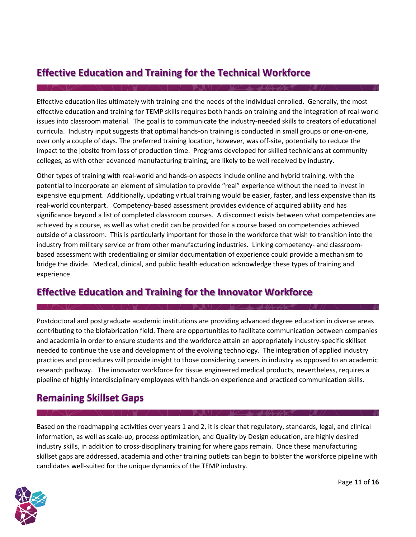## **Effective Education and Training for the Technical Workforce**

Effective education lies ultimately with training and the needs of the individual enrolled. Generally, the most effective education and training for TEMP skills requires both hands-on training and the integration of real-world issues into classroom material. The goal is to communicate the industry-needed skills to creators of educational curricula. Industry input suggests that optimal hands-on training is conducted in small groups or one-on-one, over only a couple of days. The preferred training location, however, was off-site, potentially to reduce the impact to the jobsite from loss of production time. Programs developed for skilled technicians at community colleges, as with other advanced manufacturing training, are likely to be well received by industry.

Other types of training with real-world and hands-on aspects include online and hybrid training, with the potential to incorporate an element of simulation to provide "real" experience without the need to invest in expensive equipment. Additionally, updating virtual training would be easier, faster, and less expensive than its real-world counterpart. Competency-based assessment provides evidence of acquired ability and has significance beyond a list of completed classroom courses. A disconnect exists between what competencies are achieved by a course, as well as what credit can be provided for a course based on competencies achieved outside of a classroom. This is particularly important for those in the workforce that wish to transition into the industry from military service or from other manufacturing industries. Linking competency- and classroombased assessment with credentialing or similar documentation of experience could provide a mechanism to bridge the divide. Medical, clinical, and public health education acknowledge these types of training and experience.

## **Effective Education and Training for the Innovator Workforce**

Postdoctoral and postgraduate academic institutions are providing advanced degree education in diverse areas contributing to the biofabrication field. There are opportunities to facilitate communication between companies and academia in order to ensure students and the workforce attain an appropriately industry-specific skillset needed to continue the use and development of the evolving technology. The integration of applied industry practices and procedures will provide insight to those considering careers in industry as opposed to an academic research pathway. The innovator workforce for tissue engineered medical products, nevertheless, requires a pipeline of highly interdisciplinary employees with hands-on experience and practiced communication skills.

## <span id="page-10-0"></span>**Remaining Skillset Gaps**

Based on the roadmapping activities over years 1 and 2, it is clear that regulatory, standards, legal, and clinical information, as well as scale-up, process optimization, and Quality by Design education, are highly desired industry skills, in addition to cross-disciplinary training for where gaps remain. Once these manufacturing skillset gaps are addressed, academia and other training outlets can begin to bolster the workforce pipeline with candidates well-suited for the unique dynamics of the TEMP industry.

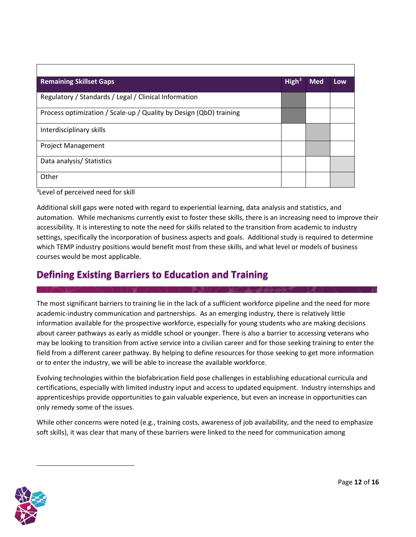| <b>Remaining Skillset Gaps</b>                                     | High <sup>3</sup> | <b>Med</b> | Low |
|--------------------------------------------------------------------|-------------------|------------|-----|
| Regulatory / Standards / Legal / Clinical Information              |                   |            |     |
| Process optimization / Scale-up / Quality by Design (QbD) training |                   |            |     |
| Interdisciplinary skills                                           |                   |            |     |
| <b>Project Management</b>                                          |                   |            |     |
| Data analysis/ Statistics                                          |                   |            |     |
| Other                                                              |                   |            |     |

<sup>3</sup>Level of perceived need for skill

Additional skill gaps were noted with regard to experiential learning, data analysis and statistics, and automation. While mechanisms currently exist to foster these skills, there is an increasing need to improve their accessibility. It is interesting to note the need for skills related to the transition from academic to industry settings, specifically the incorporation of business aspects and goals. Additional study is required to determine which TEMP industry positions would benefit most from these skills, and what level or models of business courses would be most applicable.

## <span id="page-11-0"></span>**Defining Existing Barriers to Education and Training**

The most significant barriers to training lie in the lack of a sufficient workforce pipeline and the need for more academic-industry communication and partnerships. As an emerging industry, there is relatively little information available for the prospective workforce, especially for young students who are making decisions about career pathways as early as middle school or younger. There is also a barrier to accessing veterans who may be looking to transition from active service into a civilian career and for those seeking training to enter the field from a different career pathway. By helping to define resources for those seeking to get more information or to enter the industry, we will be able to increase the available workforce.

Evolving technologies within the biofabrication field pose challenges in establishing educational curricula and certifications, especially with limited industry input and access to updated equipment. Industry internships and apprenticeships provide opportunities to gain valuable experience, but even an increase in opportunities can only remedy some of the issues.

While other concerns were noted (e.g., training costs, awareness of job availability, and the need to emphasize soft skills), it was clear that many of these barriers were linked to the need for communication among

<span id="page-11-1"></span>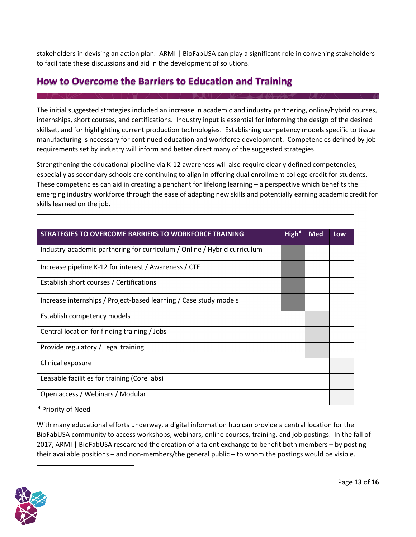stakeholders in devising an action plan. ARMI | BioFabUSA can play a significant role in convening stakeholders to facilitate these discussions and aid in the development of solutions.

## <span id="page-12-0"></span>**How to Overcome the Barriers to Education and Training**

The initial suggested strategies included an increase in academic and industry partnering, online/hybrid courses, internships, short courses, and certifications. Industry input is essential for informing the design of the desired skillset, and for highlighting current production technologies. Establishing competency models specific to tissue manufacturing is necessary for continued education and workforce development. Competencies defined by job requirements set by industry will inform and better direct many of the suggested strategies.

Strengthening the educational pipeline via K-12 awareness will also require clearly defined competencies, especially as secondary schools are continuing to align in offering dual enrollment college credit for students. These competencies can aid in creating a penchant for lifelong learning – a perspective which benefits the emerging industry workforce through the ease of adapting new skills and potentially earning academic credit for skills learned on the job.

| <b>STRATEGIES TO OVERCOME BARRIERS TO WORKFORCE TRAINING</b>             | High <sup>4</sup> | <b>Med</b> | Low |
|--------------------------------------------------------------------------|-------------------|------------|-----|
| Industry-academic partnering for curriculum / Online / Hybrid curriculum |                   |            |     |
| Increase pipeline K-12 for interest / Awareness / CTE                    |                   |            |     |
| Establish short courses / Certifications                                 |                   |            |     |
| Increase internships / Project-based learning / Case study models        |                   |            |     |
| Establish competency models                                              |                   |            |     |
| Central location for finding training / Jobs                             |                   |            |     |
| Provide regulatory / Legal training                                      |                   |            |     |
| Clinical exposure                                                        |                   |            |     |
| Leasable facilities for training (Core labs)                             |                   |            |     |
| Open access / Webinars / Modular                                         |                   |            |     |

<sup>4</sup> Priority of Need

With many educational efforts underway, a digital information hub can provide a central location for the BioFabUSA community to access workshops, webinars, online courses, training, and job postings. In the fall of 2017, ARMI | BioFabUSA researched the creation of a talent exchange to benefit both members – by posting their available positions – and non-members/the general public – to whom the postings would be visible.

<span id="page-12-1"></span>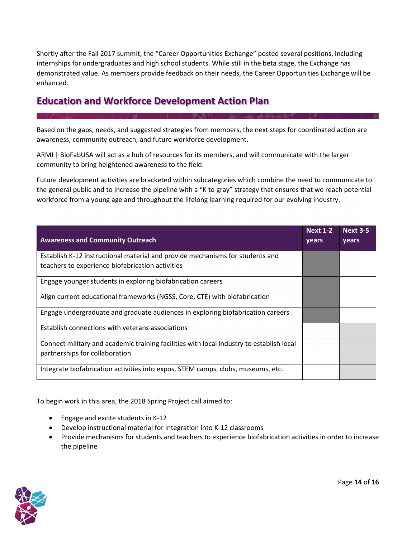Shortly after the Fall 2017 summit, the "Career Opportunities Exchange" posted several positions, including internships for undergraduates and high school students. While still in the beta stage, the Exchange has demonstrated value. As members provide feedback on their needs, the Career Opportunities Exchange will be enhanced.

## <span id="page-13-0"></span>**Education and Workforce Development Action Plan**

Based on the gaps, needs, and suggested strategies from members, the next steps for coordinated action are awareness, community outreach, and future workforce development.

ARMI | BioFabUSA will act as a hub of resources for its members, and will communicate with the larger community to bring heightened awareness to the field.

Future development activities are bracketed within subcategories which combine the need to communicate to the general public and to increase the pipeline with a "K to gray" strategy that ensures that we reach potential workforce from a young age and throughout the lifelong learning required for our evolving industry.

| <b>Awareness and Community Outreach</b>                                                                                           | <b>Next 1-2</b><br>years | <b>Next 3-5</b><br>years |
|-----------------------------------------------------------------------------------------------------------------------------------|--------------------------|--------------------------|
| Establish K-12 instructional material and provide mechanisms for students and<br>teachers to experience biofabrication activities |                          |                          |
| Engage younger students in exploring biofabrication careers                                                                       |                          |                          |
| Align current educational frameworks (NGSS, Core, CTE) with biofabrication                                                        |                          |                          |
| Engage undergraduate and graduate audiences in exploring biofabrication careers                                                   |                          |                          |
| Establish connections with veterans associations                                                                                  |                          |                          |
| Connect military and academic training facilities with local industry to establish local<br>partnerships for collaboration        |                          |                          |
| Integrate biofabrication activities into expos, STEM camps, clubs, museums, etc.                                                  |                          |                          |

To begin work in this area, the 2018 Spring Project call aimed to:

- Engage and excite students in K-12
- Develop instructional material for integration into K-12 classrooms
- Provide mechanisms for students and teachers to experience biofabrication activities in order to increase the pipeline

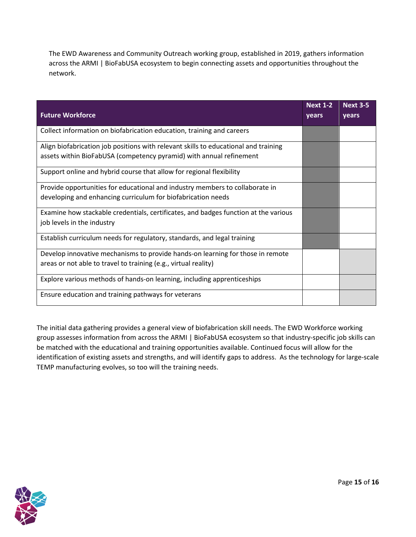The EWD Awareness and Community Outreach working group, established in 2019, gathers information across the ARMI | BioFabUSA ecosystem to begin connecting assets and opportunities throughout the network.

| <b>Future Workforce</b>                                                             | <b>Next 1-2</b><br>years | <b>Next 3-5</b><br>years |
|-------------------------------------------------------------------------------------|--------------------------|--------------------------|
| Collect information on biofabrication education, training and careers               |                          |                          |
| Align biofabrication job positions with relevant skills to educational and training |                          |                          |
| assets within BioFabUSA (competency pyramid) with annual refinement                 |                          |                          |
| Support online and hybrid course that allow for regional flexibility                |                          |                          |
| Provide opportunities for educational and industry members to collaborate in        |                          |                          |
| developing and enhancing curriculum for biofabrication needs                        |                          |                          |
| Examine how stackable credentials, certificates, and badges function at the various |                          |                          |
| job levels in the industry                                                          |                          |                          |
| Establish curriculum needs for regulatory, standards, and legal training            |                          |                          |
| Develop innovative mechanisms to provide hands-on learning for those in remote      |                          |                          |
| areas or not able to travel to training (e.g., virtual reality)                     |                          |                          |
| Explore various methods of hands-on learning, including apprenticeships             |                          |                          |
| Ensure education and training pathways for veterans                                 |                          |                          |

The initial data gathering provides a general view of biofabrication skill needs. The EWD Workforce working group assesses information from across the ARMI | BioFabUSA ecosystem so that industry-specific job skills can be matched with the educational and training opportunities available. Continued focus will allow for the identification of existing assets and strengths, and will identify gaps to address. As the technology for large-scale TEMP manufacturing evolves, so too will the training needs.